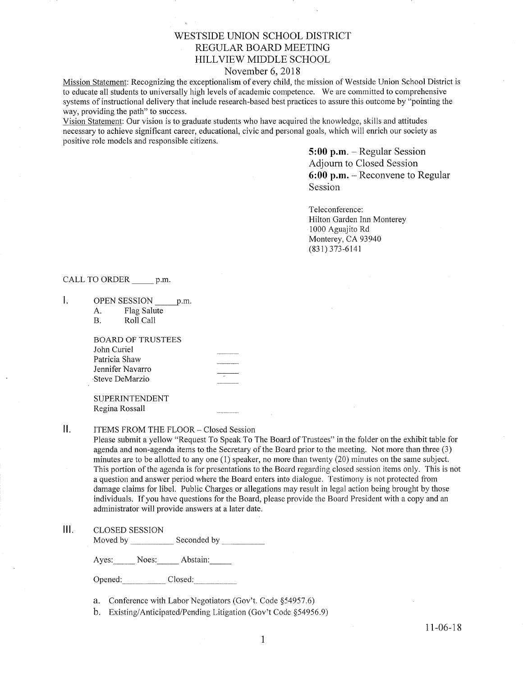# WESTSIDE UNION SCHOOL DISTRICT REGULAR BOARD MEETING HILLVIEW MIDDLE SCHOOL

## November 6,2018

Mission Statement: Recognizing the exceptionalism of every child, the mission of Westside Union School District is to educate all students to universally high levels of academic competence. We are committed to comprehensive systems of instructional delivery that include research-based best practices to assure this outcome by "pointing the way, providing the path" to success.

Vision Statement: Our vision is to graduate students who have acquired the knowledge, skills and attitudes necessary to achieve signifrcant career, educational, civic and personal goals, which will enrich our society as positive role models and responsible citizens.

> 5:00 p.m. - Regular Session Adjourn to Closed Session  $6:00$  p.m. – Reconvene to Regular Session

Teleconference: Hilton Garden Inn Monterey 1000 Aguajito Rd Monterey, CA <sup>93940</sup>  $(831)$  373-6141

CALL TO ORDER p.m.

 $\mathbf{I}$ . OPEN SESSION p.m.

A. Flag Salute B. Roll Call

BOARD OF TRUSTEES John Curiel Patricia Shaw Jennifer Navarro .Steve DeMarzio

SUPERINTENDENT Regina Rossall

 $II.$ ITEMS FROM THE FLOOR- Closed Session

> Please submit a yellow "Request To Speak To The Board of Trustees" in the folder on the exhibit table for agenda and non-agenda items to the Secretary of the Board prior to the meeting. Not more than three (3) minutes are to be allotted to any one (l) speaker, no more than twenty (20) minutes on the same subject. This portion of the agenda is for presentations to the Board regardìng closed session items only. This is not a question and answer period where the Board enters into dialogue. Testimony is not protected from damage claims for libel. Public Charges or allegations may result in legal action being brought by those individuals. If you have questions for the Board, please provide the Board President with a copy and an administrator will provide answers at a later date.

## lll. cLosED sESSroN

Moved by Seconded by

Ayes: Noes: Abstain:

Opened: Closed:

a. Conference with Labor Negotiators (Gov't. Code \$54957.6)

b. Existing/Anticipated/Pending Litigation (Gov't Code \$54956.9)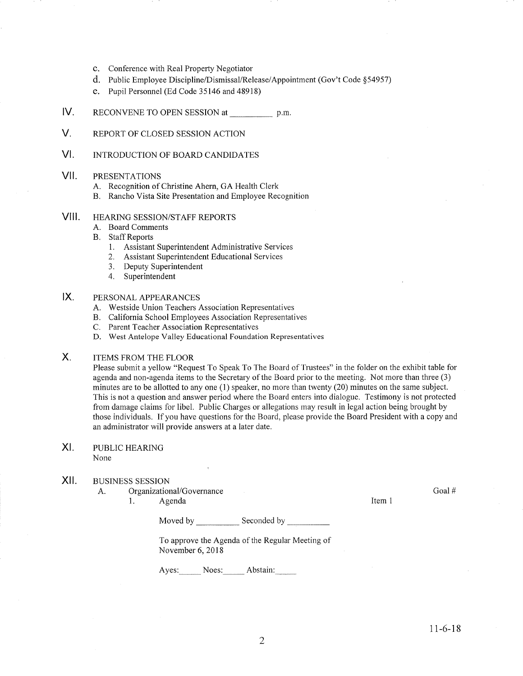- c. Conference with Real Property Negotiator
- d. Public Employee Discipline/Dismissal/Release/Appointment (Gov't Code \$54957)
- e. Pupil Personnel (Ed Code 35146 and 48918)
- lv. RECONVENE TO OPEN SESSION at p.m.
- V. REPORT OF CLOSED SESSION ACTION
- vt. INTRODUCTION OF BOARD CANDIDATES

#### VII PRESENTATIONS

- A. Recognition of Christine Ahern, GA Health Clerk
- B. Rancho Vista Site Presentation and Employee Recognition

#### VIII. HEARING SESSION/STAFF REPORTS

- A. Board Comments
- **B.** Staff Reports
	- 1. Assistant Superintendent Administrative Services
	- 2. Assistant Superintendent Educational Services
	- 3. Deputy Superintendent
	- 4. Superintendent

#### $IX.$ PERSONAL APPEARANCES

- A. Westside Union Teachers Association Representatives
- B. California School Employees Association Representatives
- C. Parent Teacher Association Representatives
- D. West Antelope Valley Educational Foundation Representatives

#### $X_{1}$ ITEMS FROM THE FLOOR

Please submit a yellow "Request To Speak To The Board of Trustees" in the folder on the exhibit table for agenda and non-agenda items to the Secretary of the Board prior to the meeting. Not more than three (3) minutes are to be allotted to any one (1) speaker, no more than twenty (20) minutes on the same subject. This is not a question and answer period where the Board enters into dialogue. Testimony is not protected from damage claims for libel. Public Charges or allegations may result in legal action being brought by those individuals. If you have questions for the Board, please provide the Board President with a copy and an administrator will provide answers at a later date.

### PUBLIC HEAzuNG None XI

#### xil BUSINESS SESSION

A. Organizational/Governance Goal # Goal # Goal # Goal # Goal # Goal # Goal # Goal #  $\frac{1}{1}$ 

Moved by Seconded by Seconded by Seconded by Seconded by Seconded by Seconded by Seconded by Seconded by Seconded by Seconded by Seconded by Seconded by Seconded by Seconded by Seconded by Seconded by Seconded by Seconded

To approve the Agenda of the Regular Meeting of November 6,2018

Ayes: Noes: Abstain: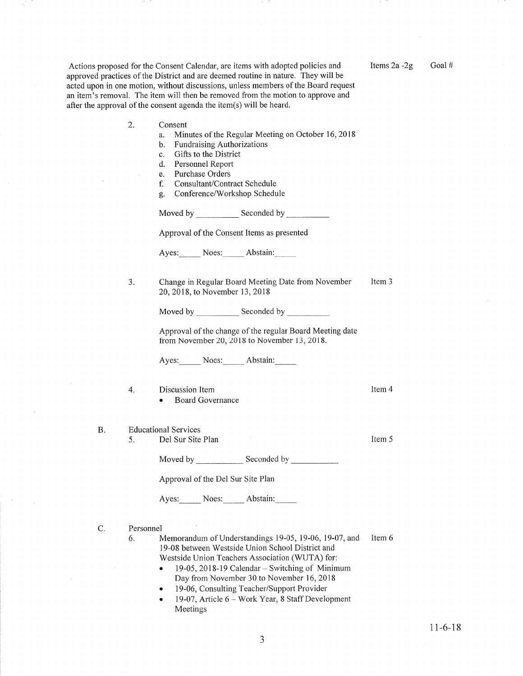Actions proposed for the Consent Calendar, are items with adopted policies and approved practices of the District and are deemed routine in nature. They will be acted upon in one motion, without discussions, unless members of the Board request an item's removal. The item will then be removed from the motion to approve and after the approval of the consent agenda the item(s) will be heard.

- Consent 2.
	- a. Minutes of the Regular Meeting on October 16,2018
	- b. Fundraising Authorizations
	- c. Gifts to the District
	- d. Personnel Report
	- e. Purchase Orders
	- f. Consultant/Contract Schedule
	- g. Conference/Workshop Schedule

Moved by \_\_\_\_\_\_\_\_\_\_\_\_\_ Seconded by \_

Approval of the Consent Items as presented

Ayes: Noes: Abstain:

Change in Regular Board Meeting Date from November 20,2078, to November 13,2018 Item 3 J

Moved by \_\_\_\_\_\_\_\_\_\_\_\_ Seconded by \_

Approval of the change of the regular Board Meeting date from November 20, 2018 to November 13, 2018.

Ayes: Noes: Abstain:

- 4. Discussion Item **Board Governance**
- B. Educational Services
	- 5. Del Sur Site Plan

Moved by \_\_\_\_\_\_\_\_\_\_\_\_\_\_ Seconded by

Approval of the Del Sur Site Plan

Ayes: Noes: Abstain:

C. Personnel

Item 6 6. Memorandum of Understandings  $19-05$ ,  $19-06$ ,  $19-07$ , and 19-08 between Westside Union School District and Westside Union Teachers Association (WUTA) for:

- 19-05, 2018-19 Calendar Switching of Minimum Day from November 30 to November 16,2018
- 19-06, Consulting Teacher/Support Provider
- 19-07, Article 6 Work Year, 8 Staff Development Meetings

Items  $2a - 2g$  Goal #

Item 4

Item 5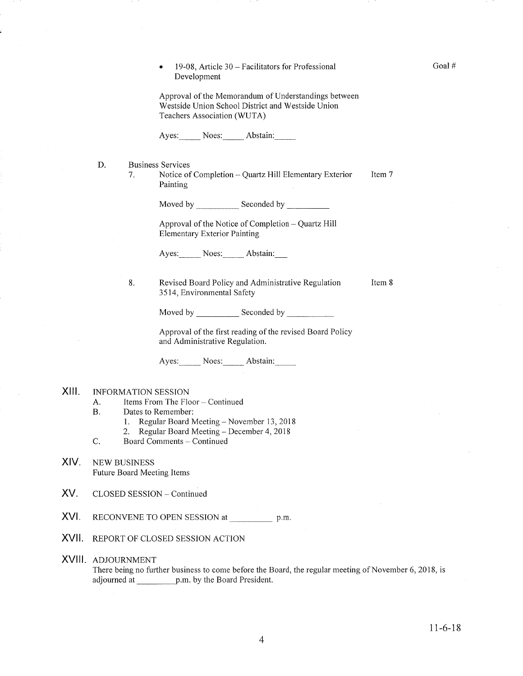l9-08, Article 30 - Facilitators for Professional Development a

Goal #

Approval of the Memorandum of Understandings between Westside Union School District and Westside Union Teachers Association (WUTA)

Ayes: Noes: Abstain:

Business Services D

> 7. Notice of Completion – Quartz Hill Elementary Exterior Painting Item 7

> > Moved by Seconded by

Approval of the Notice of Completion - Quartz Hill Elementary Exterior Painting

Ayes: Noes: Abstain:

Revised Board Policy and Administrative Regulation 3 <sup>5</sup>14, Environrnental Safety Item 8 8.

Moved by Seconded by Seconded by Seconded by Seconded by Seconded by Seconded by Seconded by Seconded by Seconded by Seconded by Seconded by Seconded by Seconded by Seconded by Seconded by Seconded by Seconded by Seconded

Approval of the first reading of the revised Board Policy and Administrative Regulation.

Ayes: Noes: Abstain:

#### INFORMATION SESSION xilt

- A. Items From The Floor Continued
- B. Dates to Remember:
	-
- 1. Regular Board Meeting November 13, 2018<br>2. Regular Board Meeting December 4, 2018<br>C. Board Comments Continued
- 
- XIV. NEw BUSINESS Future Board Meeting Items
- XV. CLOSED SESSION - Continued
- XVI. RECONVENE TO OPEN SESSION at p.m.
- XVII. REPORT OF CLOSED SESSION ACTION

### XVIII ADJOURNMENT

There being no further business to come before the Board, the regular meeting of November 6, 2018, is adjourned at  $p.m.$  by the Board President.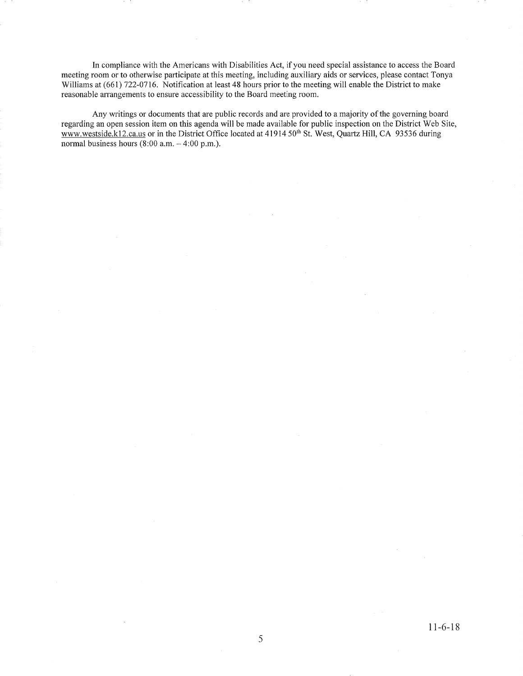In compliance with the Americans with Disabilities Act, if you need special assistance to access the Board meeting room or to otherwise participate at this meeting, including auxiliary aids or services, please contact Tonya Williams at (661) 722-0716. Notification at least 48 hours prior to the meeting will enable the District to make reasonable arrangements to ensure accessibility to the Board meeting room.

Any writings or documents that are public records and are provided to a majority of the governing board regarding an open session item on this agenda will be made available for public inspection on the District Web Site, www.westside.kl2.ca.us or in the District Office located at 41914 50<sup>th</sup> St. West, Quartz Hill, CA 93536 during normal business hours  $(8:00$  a.m.  $-4:00$  p.m.).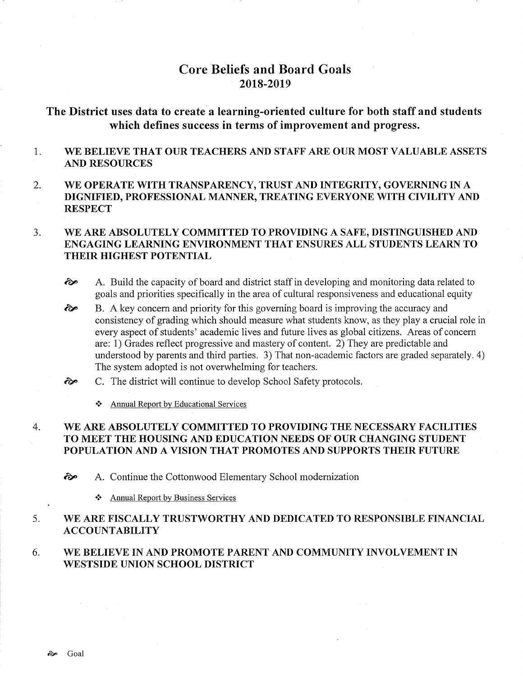# Core Beliefs and Board Goals 20t8-2019

The District uses data to create a learning-oriented culture for both staff and students which defines success in terms of improvement and progress.

- 1 WE BELIEVE THAT OUR TEACHERS AND STAFF ARE OUR MOST VALUABLE ASSETS AND RESOURCES
- 2. WE OPERATE WITH TRANSPARENCY, TRUST AND INTEGRITY, GOVERNING IN A DIGNIFIED, PROFESSIONAL MANNER, TREATING EVERYONE WITH CIVILITY AND **RESPECT**

### WE ARE ABSOLUTELY COMMITTED TO PROVIDING A SAFE, DISTINGUISHED AND ENGAGING LEARNING ENVIRONMENT THAT ENSURES ALL STUDENTS LEARN TO THEIR HIGHEST POTENTIAL 3.

- $\hat{\infty}$  A. Build the capacity of board and district staff in developing and monitoring data related to goals and priorities specifically in the area of cultural responsiveness and educational equity
- B. A key concern and priority for this governing board is improving the accuracy and consistency of grading which should measure what students know, as they play a crucial role in every aspect of students' academic lives and future lives as global citizens. Areas of concern are: 1) Grades reflect progressive and mastery of content. 2) They are predictable and understood by parents and third parties. 3) That non-academic factors are graded separately. 4) The system adopted is not overwhelming for teachers. èp
- C. The district will continue to develop School Safety protocols.  $\hat{\sigma}$ 
	- \* Annual Report by Educational Services

### WE ARE ABSOLUTELY COMMITTED TO PROVIDING THE NECESSARY FACILITIES TO MEET THE HOUSING AND EDUCATION NEEDS OF OUR CHANGING STUDENT POPULATION AND A VISION THAT PROMOTES AND SUPPORTS THEIR FUTURE 4

èp A. Continue the Cottonwood Elementary School modernization

.:. Annual Report by Business Services

### WE ARE FISCALLY TRUSTWORTHY AND DEDICATED TO RESPONSIBLE FINANCIAL ACCOUNTABILITY 5

### WE BELIEVE IN AND PROMOTE PARENT AND COMMUNITY INVOLVEMENT IN WESTSIDE UNION SCHOOL DISTRICT 6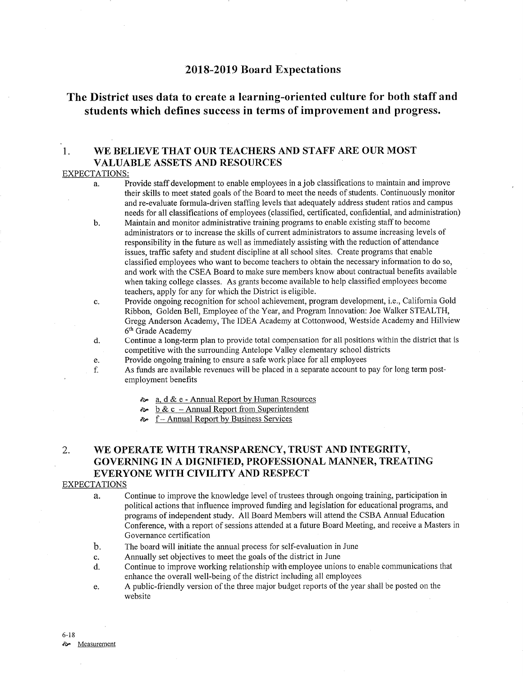## 2018-2019 Board Expectations

# The District uses data to create a learning-oriented culture for both staff and students which defïnes success in terms of improvement and progress.

# 1. WE BELIEVE THAT OUR TEACHERS AND STAFF ARE OUR MOST VALUABLE ASSETS AND RESOURCES

### EXPECTATIONS:

- a. Provide staff development to enable employees in a job classifications to maintain and improve their skills to meet stated goals of the Board to meet the needs of students. Continuously monitor and re-evaluate formula-driven staffing levels that adequately address student ratios and campus needs for all classifications of employees (classified, certificated, confidential, and administration)
- b. Maintain and monitor administrative training programs to enable existing staff to become administrators or to increase the skills of curent administrators to assume increasing levels of responsibiliry in the future as well as immediately assisting with the reduction of attendance issues, trafhc safety and student discipline at all school sites. Create programs that enable classihed employees who want to become teachers to obtain the necessary information to do so, and work with the CSEA Board to make sure members know about contractual benefits available when taking college classes. As grants become available to help classified employees become teachers, apply for any for which the District is eligible.
- c. Provide ongoing recognition for school achievement, program development, i.e., California Gold Ribbon, Golden Bell, Employee of the Year, and Program Innovation: Joe Walker STEALTH, Gregg Anderson Academy, The IDEA Academy at Cottonwood, Westside Academy and Hillview 6th Grade Academy
- d. Continue a long-term plan to provide total compensation for all positions within the district that is competitive with the surrounding Antelope Valley elementary school districts
	-
- e. Provide ongoing training to ensure a safe work place for all employees<br>f. As funds are available revenues will be placed in a separate account to pay for long term post-<br>employment benefits
	- èp a. d & <sup>e</sup> Annual Report by Human Resources
	- $\frac{b \& c \text{Annual Report from Superintendent}}{\sim}$  f Annual Report by Business Services
	-

# 2. WE OPERATE WITH TRANSPARENCY, TRUST AND INTEGRITY, GOVERNING IN A DIGNIFIED, PROFESSIONAL MANNER, TREATING EVERYONE WITH CIVILITY AND RESPECT

## EXPECTATIONS

a. Continue to improve the knowledge level of trustees through ongoing training, participation in political actions that influence improved funding and legislation for educational programs, and programs of independent study. All Board Members will attend the CSBA Annual Education Conference, with a report of sessions attended at a future Board Meeting, and receive a Masters in Governance certification

- b. The board will initiate the annual process for self-evaluation in June
- c. Annually set objectives to meet the goals of the district in June
- d. Continue to improve working relationship with employee unions to enable communications that enhance the overall well-being of the district including all employees
- e. A public-friendly version of the three major budget reports of the year shall be posted on the website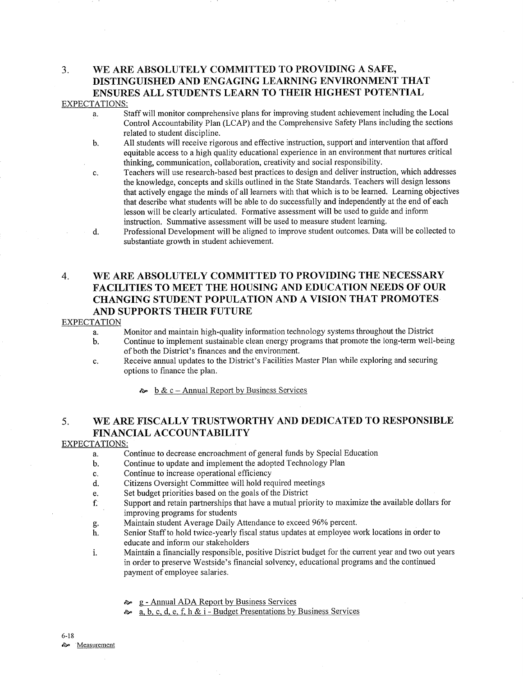## 3. WE ARE ABSOLUTELY COMMITTED TO PROVIDING A SAFE, DISTINGUISHED AND ENGAGING LEARNING ENVIRONMENT THAT ENSURES ALL STUDENTS LEARN TO THEIR HIGHEST POTENTIAL EXPECTATIONS:

- a. Staff will monitor comprehensive plans for improving student achievement including the Local Control Accountability Plan (LCAP) and the Comprehensive Safety Plans including the sections related to student discipline.
- b. All students will receive rigorous and effective instruction, support and intervention that afford equitable access to a high qualiry educational experience in an environment that nurtures critical thinking, communication, collaboration, creativity and social responsibility.
- c. Teachers will use research-based best practices to design and deliver instruction, which addresses the knowledge, concepts and skills outlined in the State Standards. Teachers will design lessons that actively engage the minds of all leamers with that which is to be learned. Learning objectives that describe what students will be able to do successfully and independently at the end of each lesson will be clearly articulated. Formative assessment will be used to guide and inform instruction. Summative assessment will be used to measure student learning.
- d. Professional Development will be aligned to improve student outcomes. Data will be collected to substantiate growth in student achievement.

# 4. WE ARE ABSOLUTELY COMMITTED TO PROVIDING THE NECESSARY FACILITIES TO MEET THE HOUSING AND EDUCATION NEEDS OF OUR CHANGING STUDENT POPULATION AND A VISION THAT PROMOTES AND SUPPORTS THEIR FUTURE

## **EXPECTATION**

- a. Monitor and maintain high-quality information technology systems throughout the District
- b. Continue to implement sustainable clean energy programs that promote the long-term well-being of both the District's finances and the environment.
- c. Receive annual updates to the District's Facilities Master Plan while exploring and securing options to finance the plan.
	- $\sim b \& c$  Annual Report by Business Services

# 5. WE ARE FISCALLY TRUSTWORTHY AND DEDICATED TO RESPONSIBLE FINANCIAL ACCOUNTABILITY

## EXPECTATIONS:

- a. Continue to decrease encroachment of general funds by Special Education
- b. Continue to update and implement the adopted Technology Plan
- c. Continue to increase operational efficiency
- d. Citizens Oversight Committee will hold required meetings
- e. Set budget priorities based on the goals of the District
- f. Support and retain partnerships that have a mutual priority to maximize the available dollars for improving programs for students<br>Maintain student Average Daily Attendance to exceed 96% percent.
- 
- g. Maintain student Average Daily Attendance to exceed 96% percent.<br>h. Senior Staff to hold twice-yearly fiscal status updates at employee work locations in order to educate and inform our stakeholders
- i. Maintain a financially responsible, positive District budget for the current year and two out years in order to preserve Westside's financial solvency, educational programs and the continued payment of employee salaries.
	- èÊ g Annual ADA Report by Business Services
	- èp a. b. c. d, e. f. h & i Budget Presentations by Business Services